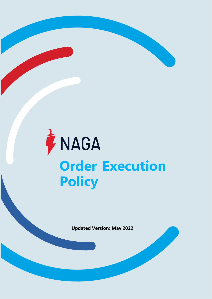# TINAGA **Order Execution Policy**

**Updated Version: May 2022**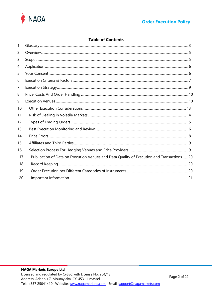

# **Table of Contents**

| 1  |                                                                                           |  |
|----|-------------------------------------------------------------------------------------------|--|
| 2  |                                                                                           |  |
| 3  |                                                                                           |  |
| 4  |                                                                                           |  |
| 5  |                                                                                           |  |
| 6  |                                                                                           |  |
| 7  |                                                                                           |  |
| 8  |                                                                                           |  |
| 9  |                                                                                           |  |
| 10 |                                                                                           |  |
| 11 |                                                                                           |  |
| 12 |                                                                                           |  |
| 13 |                                                                                           |  |
| 14 |                                                                                           |  |
| 15 |                                                                                           |  |
| 16 |                                                                                           |  |
| 17 | Publication of Data on Execution Venues and Data Quality of Execution and Transactions 20 |  |
| 18 |                                                                                           |  |
| 19 |                                                                                           |  |
| 20 |                                                                                           |  |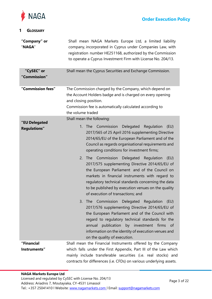

# <span id="page-2-0"></span>**1 GLOSSARY**

| "Company" or<br>"NAGA"               | Shall mean NAGA Markets Europe Ltd, a limited liability<br>company, incorporated in Cyprus under Companies Law, with<br>registration number HE251168, authorized by the Commission<br>to operate a Cyprus Investment Firm with License No. 204/13.                                                                                                                                                                                                                                                                                                                                                                      |
|--------------------------------------|-------------------------------------------------------------------------------------------------------------------------------------------------------------------------------------------------------------------------------------------------------------------------------------------------------------------------------------------------------------------------------------------------------------------------------------------------------------------------------------------------------------------------------------------------------------------------------------------------------------------------|
| "CySEC" or<br>"Commission"           | Shall mean the Cyprus Securities and Exchange Commission.                                                                                                                                                                                                                                                                                                                                                                                                                                                                                                                                                               |
| "Commission fees"                    | The Commission charged by the Company, which depend on<br>the Account Holders badge and is charged on every opening<br>and closing position.<br>Commission fee is automatically calculated according to<br>the volume traded                                                                                                                                                                                                                                                                                                                                                                                            |
|                                      | Shall mean the following:                                                                                                                                                                                                                                                                                                                                                                                                                                                                                                                                                                                               |
| "EU Delegated<br><b>Regulations"</b> | 1. The Commission Delegated<br>Regulation<br>(EU)<br>2017/565 of 25 April 2016 supplementing Directive<br>2014/65/EU of the European Parliament and of the<br>Council as regards organisational requirements and<br>operating conditions for investment firms;<br>2. The Commission Delegated Regulation<br>(EU)<br>2017/575 supplementing Directive 2014/65/EU of<br>the European Parliament and of the Council on<br>markets in financial instruments with regard to<br>regulatory technical standards concerning the data<br>to be published by execution venues on the quality<br>of execution of transactions; and |
|                                      | Commission Delegated Regulation<br>(EU)<br>3.<br>The l<br>2017/576 supplementing Directive 2014/65/EU of<br>the European Parliament and of the Council with<br>regard to regulatory technical standards for the<br>publication<br>by investment firms<br>annual<br>_of<br>information on the identity of execution venues and<br>on the quality of execution.                                                                                                                                                                                                                                                           |
| "Financial                           | Shall mean the Financial Instruments offered by the Company                                                                                                                                                                                                                                                                                                                                                                                                                                                                                                                                                             |
| Instruments"                         | which falls under the First Appendix, Part III of the Law which<br>mainly include transferable securities (i.e. real stocks) and<br>contracts for differences (i.e. CFDs) on various underlying assets.                                                                                                                                                                                                                                                                                                                                                                                                                 |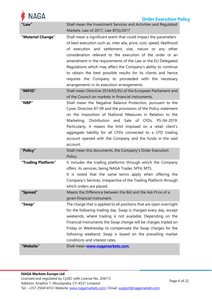| <b>NAGA</b><br><b>Order Execution Policy</b> |                                                                                                                                                                                                                                                                                                                                                                                                                                                                                                                                                                            |  |  |  |
|----------------------------------------------|----------------------------------------------------------------------------------------------------------------------------------------------------------------------------------------------------------------------------------------------------------------------------------------------------------------------------------------------------------------------------------------------------------------------------------------------------------------------------------------------------------------------------------------------------------------------------|--|--|--|
| Law                                          | Shall mean the Investment Services and Activities and Regulated<br>Markets Law of 2017, Law 87(I)/2017                                                                                                                                                                                                                                                                                                                                                                                                                                                                     |  |  |  |
| "Material Change"                            | Shall mean a significant event that could impact the parameters<br>of best execution such as, inter alia, price, cost, speed, likelihood<br>of execution and settlement, size, nature or any other<br>consideration relevant to the execution of the order or an<br>amendment in the requirements of the Law or the EU Delegated<br>Regulations which may affect the Company's ability to continue<br>to obtain the best possible results for its clients and hence<br>requires the Company to proceeded with the necessary<br>arrangements in its execution arrangements. |  |  |  |
| "MiFID"                                      | Shall mean Directive 2014/65/EU of the European Parliament and<br>of the Council on markets in financial instruments.                                                                                                                                                                                                                                                                                                                                                                                                                                                      |  |  |  |
| "NBP"                                        | Shall mean the Negative Balance Protection, pursuant to the<br>Cysec Directive 87-09 and the provisions of the Policy statement<br>on the imposition of National Measures in Relation to the<br>Marketing, Distribution and Sale of CFDs, PS-04-2019.<br>Particularly, it means the limit imposed on a retail client's<br>aggregate liability for all CFDs connected to a CFD trading<br>account opened with the Company and the funds in the said<br>account.                                                                                                             |  |  |  |
| "Policy"                                     | Shall mean this documents, the Company's Order Execution<br>Policy.                                                                                                                                                                                                                                                                                                                                                                                                                                                                                                        |  |  |  |
| "Trading Platform"                           | It includes the trading platforms through which the Company<br>offers its services, being NAGA Trader, MT4, MT5.<br>It is noted that the same terms apply when offering the<br>Company's Services, irrespective of the Trading Platform through<br>which orders are placed.                                                                                                                                                                                                                                                                                                |  |  |  |
| "Spread"                                     | Means the Difference between the Bid and the Ask Price of a<br>given Financial Instrument.                                                                                                                                                                                                                                                                                                                                                                                                                                                                                 |  |  |  |
| "Swap"                                       | The charge that is applied to all positions that are open overnight<br>for the following trading day. Swap is charged every day, except<br>weekends, where trading is not available. Depending on the<br>Financial Instruments the Swap change will be charges tripled on<br>Friday or Wednesday to compensate the Swap charges for the<br>following weekend. Swap is based on the prevailing market<br>conditions and interest rates.                                                                                                                                     |  |  |  |
| "Website"                                    | Shall mean <b>www.nagamarkets.com.</b>                                                                                                                                                                                                                                                                                                                                                                                                                                                                                                                                     |  |  |  |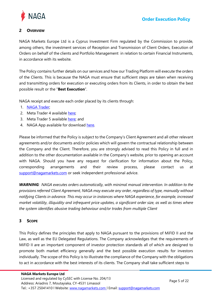

# <span id="page-4-0"></span>**2 OVERVIEW**

NAGA Markets Europe Ltd is a Cyprus Investment Firm regulated by the Commission to provide, among others, the investment services of Reception and Transmission of Client Orders, Execution of Orders on behalf of the clients and Portfolio Management in relation to certain Financial Instruments, in accordance with its website.

The Policy contains further details on our services and how our Trading Platform will execute the orders of the Clients. This is because the NAGA must ensure that sufficient steps are taken when receiving and transmitting orders for execution or executing orders from its Clients, in order to obtain the best possible result or the "**Best Execution**".

NAGA receipt and execute each order placed by its clients through:

- 1. NAGA [Trader;](https://nagamarkets.com/markets)
- 2. Meta Trader 4 available [here;](https://nagamarkets.com/investing/platforms/metatrader)
- 3. Meta Trader 5 available [here;](https://nagamarkets.com/investing/platforms/metatrader) and
- 4. NAGA App available for download [here.](https://nagamarkets.com/investing/platforms/web-app)

Please be informed that the Policy is subject to the Company's Client Agreement and all other relevant agreements and/or documents and/or policies which will govern the contractual relationship between the Company and the Client. Therefore, you are strongly advised to read this Policy in full and in addition to the other documentation available in the Company's website, prior to opening an account with NAGA. Should you have any request for clarification for information about the Policy, corresponding arrangements and their review process, please contact us at [support@nagamarkets.com](mailto:support@nagamarkets.com) or seek independent professional advice.

*WARNING: NAGA executes orders automatically, with minimal manual intervention. In addition to the provisions referred Client Agreement, NAGA may execute any order, regardless of type, manually without notifying Clients in advance. This may occur in instances where NAGA experience, for example, increased market volatility, illiquidity and infrequent price updates, a significant order size, as well as times where the system identifies abusive trading behaviour and/or trades from multiple Client*

# <span id="page-4-1"></span>**3 SCOPE**

This Policy defines the principles that apply to NAGA pursuant to the provisions of MiFID II and the Law, as well as the EU Delegated Regulations. The Company acknowledges that the requirements of MiFID II are an important component of investor protection standards all of which are designed to promote both market efficiency generally and the best possible execution results for investors individually. The scope of this Policy is to illustrate the compliance of the Company with the obligations to act in accordance with the best interests of its clients. The Company shall take sufficient steps to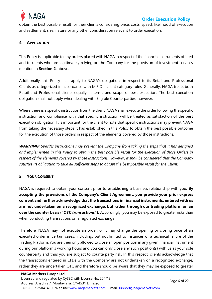

obtain the best possible result for their clients considering price, costs, speed, likelihood of execution and settlement, size, nature or any other consideration relevant to order execution.

## <span id="page-5-0"></span>**4 APPLICATION**

This Policy is applicable to any orders placed with NAGA in respect of the financial instruments offered and to clients who are legitimately relying on the Company for the provision of investment services mention in **Section [2](#page-4-0)**, above.

Additionally, this Policy shall apply to NAGA's obligations in respect to its Retail and Professional Clients as categorized in accordance with MiFID II client category rules. Generally, NAGA treats both Retail and Professional clients equally in terms and scope of best execution. The best execution obligation shall not apply when dealing with Eligible Counterparties, however.

Where there is a specific instruction from the client, NAGA shall execute the order following the specific instruction and compliance with that specific instruction will be treated as satisfaction of the best execution obligation. It is important for the client to note that specific instructions may prevent NAGA from taking the necessary steps it has established in this Policy to obtain the best possible outcome for the execution of those orders in respect of the elements covered by those instructions.

*WARNING: Specific instructions may prevent the Company from taking the steps that it has designed and implemented in this Policy to obtain the best possible result for the execution of those Orders in respect of the elements covered by those instructions. However, it shall be considered that the Company satisfies its obligation to take all sufficient steps to obtain the best possible result for the Client.*

## <span id="page-5-1"></span>**5 YOUR CONSENT**

NAGA is required to obtain your consent prior to establishing a business relationship with you. **By accepting the provisions of the Company's Client Agreement, you provide your prior express consent and further acknowledge that the transactions in financial instruments, entered with us are not undertaken on a recognized exchange, but rather through our trading platform on an over the counter basis ("OTC transactions").** Accordingly, you may be exposed to greater risks than when conducting transactions on a regulated exchange.

Therefore, NAGA may not execute an order, or it may change the opening or closing price of an executed order in certain cases, including, but not limited to instances of a technical failure of the Trading Platform. You are then only allowed to close an open position in any given financial instrument during our platform's working hours and you can only close any such position(s) with us as your sole counterparty and thus you are subject to counterparty risk. In this respect, clients acknowledge that the transactions entered in CFDs with the Company are not undertaken on a recognized exchange, rather they are undertaken OTC and therefore should be aware that they may be exposed to greater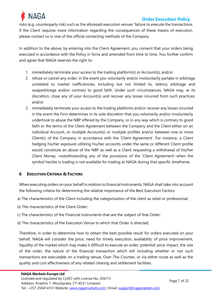

risks (e.g. counterparty risk) such as the aforesaid execution venues' failure to execute the transactions. If the Client requires more information regarding the consequences of these means of execution, please contact us in one of the official contacting methods of the Company.

In addition to the above, by entering into the Client Agreement, you consent that your orders being executed in accordance with the Policy in force and amended from time to time. You further confirm and agree that NAGA reserves the right to:

- 1. immediately terminate your access to the trading platform(s) or Account(s); and/or
- 2. refuse or cancel any order, in the event you voluntarily and/or involuntarily partake in arbitrage unrelated to market inefficiencies, including but not limited to, latency arbitrage and swaparbitrage and/or contrary to good faith. Under such circumstances, NAGA may, at its discretion, close any of your Account(s) and recover any losses incurred from such practices; and/or
- 3. immediately terminate your access to the trading platforms and/or recover any losses incurred in the event the Firm determines in its sole discretion that you voluntarily and/or involuntarily undertook to abuse the NBP offered by the Company, or in any way which is contrary to good faith or the terms of the Client Agreement between the Company and the Client either on an individual Account, or multiple Account(s) or multiple profiles and/or between one or more Client(s) of the Company in accordance with the 'Client Agreement'. For instance, a Client hedging his/her exposure utilizing his/her accounts under the same or different Client profile would constitute an abuse of the NBP as well as a Client requesting a withdrawal of his/her Client Money -notwithstanding any of the provisions of the 'Client Agreement'-when the symbol he/she is trading is not available for trading at NAGA during that specific timeframe.

# <span id="page-6-0"></span>**6 EXECUTION CRITERIA & FACTORS**

When executing orders on your behalf in relation to financial instruments, NAGA shall take into account the following criteria for determining the relative importance of the Best Execution Factors:

- a) The characteristics of the Client including the categorization of the client as retail or professional;
- b) The characteristics of the Client Order;
- c) The characteristics of the Financial Instruments that are the subject of that Order;
- d) The characteristics of the Execution Venue to which that Order is directed;

Therefore, in order to determine how to obtain the best possible result for orders executed on your behalf, NAGA will consider the price, need for timely execution, availability of price improvement, liquidity of the market which may make it difficult to execute an order, potential price impact, the size of the order, the nature of the financial transaction which will including whether or not such transactions are executable on a trading venue, Over-The-Counter, or via either route as well as the quality and cost effectiveness of any related clearing and settlement facilities.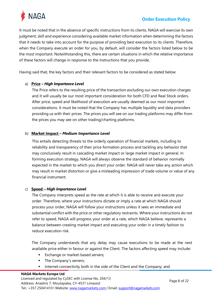



It must be noted that in the absence of specific instructions from its clients, NAGA will exercise its own judgment, skill and experience considering available market information when determining the factors that it needs to take into account for the purpose of providing best execution to its clients. Therefore, when the Company execute an order for you, by default, will consider the factors listed below to be the most important. Notwithstanding this, there are certain situations in which the relative importance of these factors will change in response to the instructions that you provide.

Having said that, the key factors and their relevant factors to be considered as stated below:

#### a) **Price –** *High Importance Level*

The Price refers to the resulting price of the transaction excluding our own execution charges and it will usually be our most important consideration for both CFD and Real Stock orders. After price, speed and likelihood of execution are usually deemed as our most important considerations. It must be noted that the Company has multiple liquidity and data providers providing us with their prices. The prices you will see on our trading platforms may differ from the prices you may see on other trading/charting platforms.

#### b) **Market Impact –** *Medium Importance Level*

This entails detecting threats to the orderly operation of financial markets, including to reliability and transparency of their price formation process and tackling any behavior that may conclusively result in cascading market impact or large market impact in general. In forming execution strategy, NAGA will always observe the standard of behavior normally expected in the market to which you direct your order. NAGA will never take any action which may result in market distortion or give a misleading impression of trade volume or value of any financial instrument.

#### c) **Speed –** *High Importance Level*

The Company interprets speed as the rate at which it is able to receive and execute your order. Therefore, where your instructions dictate or imply a rate at which NAGA should process your order, NAGA will follow your instructions unless it sees an immediate and substantial conflict with the price or other regulatory restraints. Where your instructions do not refer to speed, NAGA will progress your order at a rate, which NAGA believe, represents a balance between creating market impact and executing your order in a timely fashion to reduce execution risk.

The Company understands that any delay may cause executions to be made at the next available price either in favour or against the Client. The factors affecting speed may include:

- Exchange or market-based servers;
- The Company's servers;
- Internet connectivity both in the side of the Client and the Company; and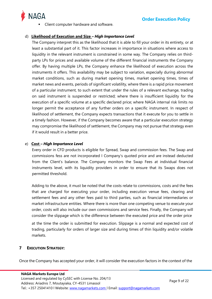

Client computer hardware and software.

# d) **Likelihood of Execution and Size –** *High Importance Level*

The Company interpret this as the likelihood that it is able to fill your order in its entirety, or at least a substantial part of it. This factor increases in importance in situations where access to liquidity in the relevant instrument is constrained in some way. The Company relies on thirdparty LPs for prices and available volume of the different financial instruments the Company offer. By having multiple LPs, the Company enhance the likelihood of execution across the instruments it offers. This availability may be subject to variation, especially during abnormal market conditions, such as during market opening times, market opening times, times of market news and events, periods of significant volatility, where there is a rapid price movement of a particular instrument, to such extent that under the rules of a relevant exchange, trading on said instrument is suspended or restricted; where there is insufficient liquidity for the execution of a specific volume at a specific declared price; where NAGA internal risk limits no longer permit the acceptance of any further orders on a specific instrument. In respect of likelihood of settlement, the Company expects transactions that it execute for you to settle in a timely fashion. However, if the Company becomes aware that a particular execution strategy may compromise the likelihood of settlement, the Company may not pursue that strategy even if it would result in a better price.

## e) **Cost –** *High Importance Level*

Every order in CFD products is eligible for Spread, Swap and commission fees. The Swap and commissions fess are not incorporated I Company's quoted price and are instead deducted from the Client's balance. The Company monitors the Swap Fees at individual financial instruments level, with its liquidity providers in order to ensure that its Swaps does not permitted threshold.

Adding to the above, it must be noted that the costs relate to commissions, costs and the fees that are charged for executing your order, including execution venue fees, clearing and settlement fees and any other fees paid to third parties, such as financial intermediaries or market infrastructure entities. Where there is more than one competing venue to execute your order, costs will also include our own commissions and service fees. Finally, the Company will consider the slippage which is the difference between the executed price and the order price

at the time the order is submitted for execution. Slippage is a normal and expected cost of trading, particularly for orders of larger size and during times of thin liquidity and/or volatile markets.

# <span id="page-8-0"></span>**7 EXECUTION STRATEGY:**

Once the Company has accepted your order, it will consider the execution factors in the context of the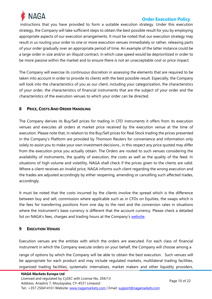

instructions that you have provided to form a suitable execution strategy. Under this execution strategy, the Company will take sufficient steps to obtain the best possible result for you by employing appropriate aspects of our execution arrangements. It must be noted that our execution strategy may result in us routing your order to one or more execution venues immediately or rather, releasing parts of your order gradually over an appropriate period of time. An example of the latter instance could be a large order in size and/or an illiquid contract, in which case speed would be deprioritized in order to be more passive within the market and to ensure there is not an unacceptable cost or price impact.

The Company will exercise its continuous discretion in assessing the elements that are required to be taken into account in order to provide its clients with the best possible result. Especially, the Company will look into the characteristics of you as our client, including your categorization, the characteristics of your order, the characteristics of financial instruments that are the subject of your order and the characteristics of the execution venues to which your order can be directed.

## <span id="page-9-0"></span>**8 PRICE, COSTS AND ORDER HANDLING**

The Company derives its Buy/Sell prices for trading in CFD instruments it offers from its execution venues and executes all orders at market price received by the execution venue at the time of execution. Please note that, in relation to the Buy/Sell prices for Real Stock trading the prices presented in the Company's Platform are provided by Thomson Reuters for convenience and information only solely to assist you to make your own investment decisions., in this respect any price quoted may differ from the execution price you actually obtain. The Orders are routed to such venues considering the availability of instruments, the quality of execution, the costs as well as the quality of the feed. In situations of high volume and volatility, NAGA shall check if the prices given to the clients are valid. Where a client receives an invalid price, NAGA informs such client regarding the wrong execution and the trades are adjusted accordingly by either reopening, amending or cancelling such affected trades, accordingly.

It must be noted that the costs incurred by the clients involve the spread which is the difference between buy and sell, commission where applicable such as in CFDs on Equities, the swaps which is the fees for transferring positions from one day to the next and the conversion rates in situations where the instrument's base currency is different that the account currency. Please check a detailed list on NAGA's fees, charges and trading hours at the Company's [website.](https://nagamarkets.com/trading/hours-and-fees)

# <span id="page-9-1"></span>**9 EXECUTION VENUES**

Execution venues are the entities with which the orders are executed. For each class of financial instrument in which the Company execute orders on your behalf, the Company will choose among a

range of options by which the Company will be able to obtain the best execution. Such venues will be appropriate for each product and may include regulated markets, multilateral trading facilities, organized trading facilities, systematic internalizes, market makers and other liquidity providers,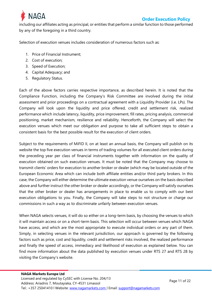

including our affiliates acting as principal, or entities that perform a similar function to those performed by any of the foregoing in a third country.

Selection of execution venues includes consideration of numerous factors such as:

- 1. Price of Financial Instrument;
- 2. Cost of execution;
- 3. Speed of Execution;
- 4. Capital Adequacy; and
- 5. Regulatory Status.

Each of the above factors carries respective importance, as described herein. It is noted that the Compliance Function, including the Company's Risk Committee are involved during the initial assessment and prior proceedings on a contractual agreement with a Liquidity Provider (i.e. LPs). The Company will look upon the liquidity and price offered, credit and settlement risk, realized performance which include latency, liquidity, price improvement, fill rates, pricing analysis, commercial positioning, market mechanism, resilience and reliability. Henceforth, the Company will select the execution venues which meet our obligation and purpose to take all sufficient steps to obtain a consistent basis for the best possible result for the execution of client orders.

Subject to the requirements of MiFID II, on at least an annual basis, the Company will publish on its website the top five execution venues in terms of trading volumes for all executed client orders during the preceding year per class of financial instruments together with information on the quality of execution obtained on such execution venues. It must be noted that the Company may choose to transmit clients' orders for execution to another broker or dealer (which may be located outside of the European Economic Area which can include both affiliate entities and/or third party brokers. In this case, the Company will either determine the ultimate execution venue ourselves on the basis described above and further instruct the other broker or dealer accordingly, or the Company will satisfy ourselves that the other broker or dealer has arrangements in place to enable us to comply with our best execution obligations to you. Finally, the Company will take steps to not structure or charge our commissions in such a way as to discriminate unfairly between execution venues.

When NAGA selects venues, it will do so either on a long-term basis, by choosing the venues to which it will maintain access or on a short-term basis. This selection will occur between venues which NAGA have access, and which are the most appropriate to execute individual orders or any part of them. Simply, in selecting venues in the relevant jurisdiction, our approach is governed by the following factors such as price, cost and liquidity, credit and settlement risks involved, the realized performance and finally the speed of access, immediacy and likelihood of execution as explained below. You can find more information about the data published by execution venues under RTS 27 and RTS 28 by visiting the Company's website.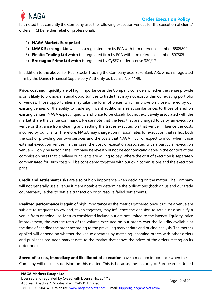

It is noted that currently the Company uses the following execution venues for the execution of clients' orders in CFDs (either retail or professional):

## 1) **NAGA Markets Europe Ltd**

- 2) **LMAX Exchange Ltd** which is a regulated firm by FCA with firm reference number 6505809
- 3) **[Finalto Trading Ltd](https://downloads.tradetechalpha.com/rts.php)** which is a regulated firm by FCA with firm reference number 607305
- 4) **Broctagon Prime Ltd** which is regulated by CySEC under license 320/17

In addition to the above, for Real Stocks Trading the Company uses Saxo Bank A/S. which is regulated firm by the Danish Financial Supervisory Authority as License No. 1149.

**Price, cost and liquidity** are of high importance as the Company considers whether the venue provide is or is likely to provide, material opportunities to trade that may not exist within our existing portfolio of venues. Those opportunities may take the form of prices, which improve on those offered by our existing venues or the ability to trade significant additional size at similar prices to those offered on existing venues. NAGA expect liquidity and price to be closely but not exclusively associated with the market share the venue commands. Please note that the fees that are charged to us by an execution venue or that arise from clearing and settling the trades executed on that venue, influence the costs incurred by our clients. Therefore, NAGA may charge commission rates for execution that reflect both the cost of providing our own services and the costs that NAGA incur or expect to incur when it use external execution venues. In this case, the cost of execution associated with a particular execution venue will only be factor if the Company believe it will not be economically viable in the context of the commission rates that it believe our clients are willing to pay. Where the cost of execution is separately compensated for, such costs will be considered together with our own commissions and the execution price.

**Credit and settlement risks** are also of high importance when deciding on the matter. The Company will not generally use a venue if it are notable to determine the obligations (both on us and our trade counterparty) either to settle a transaction or to resolve failed settlements.

**Realized performance** is again of high importance as the metrics gathered once it utilize a venue are subject to frequent review and, taken together, may influence the decision to retain or disqualify a venue from ongoing use. Metrics considered include but are not limited to the latency, liquidity, price improvement, the average ratio of the volume executed on our orders over the liquidity available at the time of sending the order according to the prevailing market data and pricing analysis. The metrics applied will depend on whether the venue operates by matching incoming orders with other orders and publishes pre-trade market data to the market that shows the prices of the orders resting on its order book.

**Speed of access, immediacy and likelihood of execution** have a medium importance when the Company will make its decision on this matter. This is because, the majority of European or United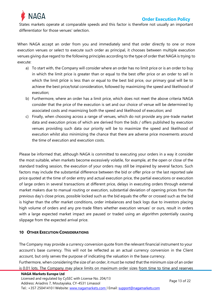

States markets operate at comparable speeds and this factor is therefore not usually an important differentiator for those venues' selection.

When NAGA accept an order from you and immediately send that order directly to one or more execution venues or select to execute such order as principal, it chooses between multiple execution venues giving due regard to the following principles according to the type of order that NAGA is trying to execute:

- a) To start with, the Company will consider where an order has no limit price or is an order to buy in which the limit price is greater than or equal to the best offer price or an order to sell in which the limit price is less than or equal to the best bid price, our primary goal will be to achieve the best price/total consideration, followed by maximizing the speed and likelihood of execution;
- b) Furthermore, where an order has a limit price, which does not meet the above criteria NAGA consider that the price of the execution is set and our choice of venue will be determined by associated costs and maximizing both the speed and likelihood of execution; and
- c) Finally, when choosing across a range of venues, which do not provide any pre-trade market data and execution prices of which are derived from the bids / offers published by execution venues providing such data our priority will be to maximize the speed and likelihood of execution whilst also minimizing the chance that there are adverse price movements around the time of execution and execution costs.

Please be informed that, although NAGA is committed to executing your orders in a way it consider the most suitable, when markets become excessively volatile, for example, at the open or close of the standard trading session, the execution of your orders may still be impaired by several factors. Such factors may include the substantial difference between the bid or offer price or the last reported sale price quoted at the time of order entry and actual execution price, the partial executions or execution of large orders in several transactions at different price, delays in executing orders through external market makers due to manual routing or execution, substantial deviation of opening prices from the previous day's close prices, possible locked such as the bid equals the offer or crossed such as the bid is higher than the offer market conditions, order imbalances and back logs due to investors placing high volume of orders and any pre-trade filters whether execution venues' or ours, result in orders with a large expected market impact are paused or traded using an algorithm potentially causing slippage from the expected arrival price.

## <span id="page-12-0"></span>**10 OTHER EXECUTION CONSIDERATIONS**

The Company may provide a currency conversion quote from the relevant financial instrument to your account's base currency. This will not be reflected as an actual currency conversion in the Client account, but only serves the purpose of indicating the valuation in the base currency.

Furthermore, when considering the size of an order, it must be noted that the minimum size of an order is 0.01 lots. The Company may place limits on maximum order sizes from time to time and reserves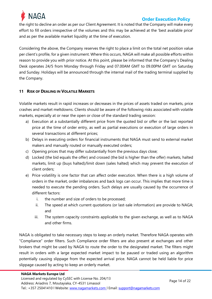

the right to decline an order as per our Client Agreement. It is noted that the Company will make every effort to fill orders irrespective of the volumes and this may be achieved at the 'best available price' and as per the available market liquidity at the time of execution.

Considering the above, the Company reserves the right to place a limit on the total net position value per client's profile, for a given instrument. Where this occurs, NAGA will make all possible efforts within reason to provide you with prior notice. At this point, please be informed that the Company's Dealing Desk operates 24/5 from Monday through Friday and 07.00AM GMT to 09.00PM GMT on Saturday and Sunday. Holidays will be announced through the internal mail of the trading terminal supplied by the Company.

## <span id="page-13-0"></span>**11 RISK OF DEALING IN VOLATILE MARKETS**

Volatile markets result in rapid increases or decreases in the prices of assets traded on markets, price crashes and market meltdowns. Clients should be aware of the following risks associated with volatile markets, especially at or near the open or close of the standard trading session:

- a) Execution at a substantially different price from the quoted bid or offer or the last reported price at the time of order entry, as well as partial executions or execution of large orders in several transactions at different prices;
- b) Delays in executing orders for financial instruments that NAGA must send to external market makers and manually routed or manually executed orders;
- c) Opening prices that may differ substantially from the previous days close;
- d) Locked (the bid equals the offer) and crossed (the bid is higher than the offer) markets, halted markets, limit up (buys halted)/limit down (sales halted) which may prevent the execution of client orders;
- e) Price volatility is one factor that can affect order execution. When there is a high volume of orders in the market, order imbalances and back logs can occur. This implies that more time is needed to execute the pending orders. Such delays are usually caused by the occurrence of different factors:
	- i. the number and size of orders to be processed;
	- ii. The speed at which current quotations (or last-sale information) are provide to NAGA; and
	- iii. The system capacity constraints applicable to the given exchange, as well as to NAGA and other firms.

NAGA is obligated to take necessary steps to keep an orderly market. Therefore NAGA operates with "Compliance" order filters. Such Compliance order filters are also present at exchanges and other brokers that might be used by NAGA to route the order to the designated market. The filters might result in orders with a large expected market impact to be paused or traded using an algorithm potentially causing slippage from the expected arrival price. NAGA cannot be held liable for price slippage caused by acting to keep an orderly market.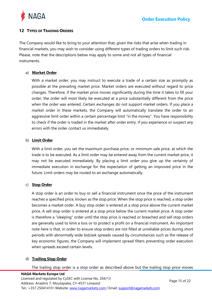

## <span id="page-14-0"></span>**12 TYPES OF TRADING ORDERS**

The Company would like to bring to your attention that, given the risks that arise when trading in financial markets, you may wish to consider using different types of trading orders to limit such risk. Please, note that the descriptions below may apply to some and not all types of financial instruments.

## a) **Market Order**

With a market order, you may instruct to execute a trade of a certain size as promptly as possible at the prevailing market price. Market orders are executed without regard to price changes. Therefore, if the market price moves significantly during the time it takes to fill your order, the order will most likely be executed at a price substantially different from the price when the order was entered. Certain exchanges do not support market orders. If you place a market order in these markets, the Company will automatically translate the order to an aggressive limit order within a certain percentage limit "in the money". You have responsibility to check if the order is traded in the market after order entry. If you experience or suspect any errors with the order contact us immediately.

#### b) **Limit Order**

With a limit order, you set the maximum purchase price, or minimum sale price, at which the trade is to be executed. As a limit order may be entered away from the current market price, it may not be executed immediately. By placing a limit order you give up the certainty of immediate execution in exchange for the expectation of getting an improved price in the future. Limit orders may be routed to an exchange automatically.

## c) **Stop Order**

A stop order is an order to buy or sell a financial instrument once the price of the instrument reaches a specified price, known as the stop price. When the stop price is reached, a stop order becomes a market order. A buy stop order is entered at a stop price above the current market price. A sell stop order is entered at a stop price below the current market price. A stop order is therefore a "sleeping" order until the stop price is reached or breached and sell stop orders are generally used to limit a loss or to protect a profit on a financial instrument. An important note here is that, in order to ensure stop orders are not filled at unreliable prices during short periods with abnormally wide bid/ask spreads caused by circumstances such as the release of key economic figures, the Company will implement spread filters preventing order execution when spreads exceed certain levels.

#### d) **Trailing Stop Order**

The trailing stop order is a stop order as described above but the trailing stop price moves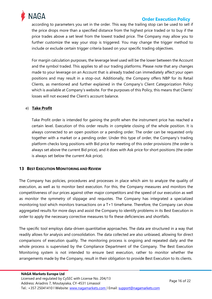

according to parameters you set in the order. This way the trailing stop can be used to sell if the price drops more than a specified distance from the highest price traded or to buy if the price trades above a set level from the lowest traded price. The Company may allow you to further customize the way your stop is triggered. You may change the trigger method to include or exclude certain trigger criteria based on your specific trading objectives.

For margin calculation purposes, the leverage level used will be the lower between the Account and the symbol traded. This applies to all our trading platforms. Please note that any changes made to your leverage on an Account that is already traded can immediately affect your open positions and may result in a stop-out. Additionally, the Company offers NBP for its Retail Clients, as mentioned and further explained in the Company's Client Categorization Policy which is available at Company's website. For the purposes of this Policy, this means that Clients' losses will not exceed the Client's account balance.

#### e) **Take Profit**

Take Profit order is intended for gaining the profit when the instrument price has reached a certain level. Execution of this order results in complete closing of the whole position. It is always connected to an open position or a pending order. The order can be requested only together with a market or a pending order. Under this type of order, the Company's trading platform checks long positions with Bid price for meeting of this order provisions (the order is always set above the current Bid price), and it does with Ask price for short positions (the order is always set below the current Ask price).

#### <span id="page-15-0"></span>**13 BEST EXECUTION MONITORING AND REVIEW**

The Company has policies, procedures and processes in place which aim to analyze the quality of execution, as well as to monitor best execution. For this, the Company measures and monitors the competitiveness of our prices against other major competitors and the speed of our execution as well as monitor the symmetry of slippage and requotes. The Company has integrated a specialized monitoring tool which monitors transactions on a T+1 timeframe. Therefore, the Company can show aggregated results for more days and assist the Company to identify problems in its Best Execution in order to apply the necessary corrective measures to fix these deficiencies and shortfalls.

The specific tool employs data-driven quantitative approaches. The data are structured in a way that readily allows for analysis and consolidation. The data collected are also unbiased, allowing for direct comparisons of execution quality. The monitoring process is ongoing and repeated daily and the whole process is supervised by the Compliance Department of the Company. The Best Execution Monitoring system is not intended to ensure best execution, rather to monitor whether the arrangements made by the Company, result in their obligation to provide Best Execution to its clients.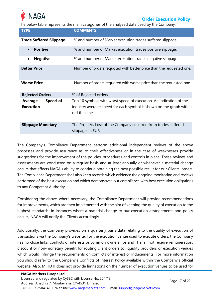

The below table represents the main categories of the analyzed data used by the Company:

| <b>TYPE</b>                             | <b>COMMENTS</b>                                                                                                                                             |
|-----------------------------------------|-------------------------------------------------------------------------------------------------------------------------------------------------------------|
| <b>Trade Suffered Slippage</b>          | % and number of Market execution trades suffered slippage.                                                                                                  |
| <b>Positive</b>                         | % and number of Market execution trades positive slippage.                                                                                                  |
| <b>Negative</b><br>$\bullet$            | % and number of Market execution trades negative slippage.                                                                                                  |
| <b>Better Price</b>                     | Number of orders requoted with better price than the requested one.                                                                                         |
| <b>Worse Price</b>                      | Number of orders requoted with worse price than the requested one.                                                                                          |
| <b>Rejected Orders</b>                  | % of Rejected orders.                                                                                                                                       |
| Speed of<br>Average<br><b>Execution</b> | Top 10 symbols with worst speed of execution. An indication of the<br>industry average speed for each symbol is shown on the graph with a<br>red thin line. |
| <b>Slippage Monetary</b>                | The Profit Vs Loss of the Company occurred from trades suffered<br>slippage, in EUR.                                                                        |

The Company's Compliance Department perform additional independent reviews of the above processes and provide assurance as to their effectiveness or in the case of weaknesses provide suggestions for the improvement of the policies, procedures and controls in place. These reviews and assessments are conducted on a regular basis and at least annually or whenever a material change occurs that affects NAGA's ability to continue obtaining the best possible result for our Clients' orders. The Compliance Department shall also keep records which evidence the ongoing monitoring and reviews performed of the best execution and which demonstrate our compliance with best execution obligations to any Competent Authority.

Considering the above, where necessary, the Compliance Department will provide recommendations for improvements, which are then implemented with the aim of keeping the quality of execution to the highest standards. In instances where a material change to our execution arrangements and policy occurs, NAGA will notify the Clients accordingly.

Additionally, the Company provides on a quarterly basis data relating to the quality of execution of transactions via the Company's website. For the execution venue used to execute orders, the Company has no close links, conflicts of interests or common ownerships and IT shall not receive remuneration, discount or non-monetary benefit for routing client orders to liquidity providers or execution venues which would infringe the requirements on conflicts of interest or inducements. For more information you should refer to the Company's Conflicts of Interest Policy available within the Company's official website. Also, MiFID II does not provide limitations on the number of execution venues to be used for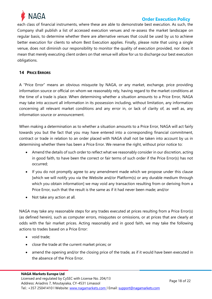

each class of financial instruments, where these are able to demonstrate best execution. As such, the Company shall publish a list of accessed execution venues and re-assess the market landscape on regular basis, to determine whether there are alternative venues that could be used by us to achieve better execution for clients to whom Best Execution applies. Finally, please note that using a single venue, does not diminish our responsibility to monitor the quality of execution provided, nor does it mean that merely executing client orders on that venue will allow for us to discharge our best execution obligations.

## <span id="page-17-0"></span>**14 PRICE ERRORS**

A "Price Error" means an obvious misquote by NAGA, or any market, exchange, price providing information source or official on whom we reasonably rely, having regard to the market conditions at the time of a trade is place. When determining whether a situation amounts to a Price Error, NAGA may take into account all information in its possession including, without limitation, any information concerning all relevant market conditions and any error in, or lack of clarity of, as well as, any information source or announcement.

When making a determination as to whether a situation amounts to a Price Error, NAGA will act fairly towards you but the fact that you may have entered into a corresponding financial commitment, contract or trade in relation to an order placed with NAGA shall not be taken into account by us in determining whether there has been a Price Error. We reserve the right, without prior notice to:

- Amend the details of such order to reflect what we reasonably consider in our discretion, acting in good faith, to have been the correct or fair terms of such order if the Price Error(s) has not occurred;
- If you do not promptly agree to any amendment made which we propose under this clause [which we will notify you via the Website and/or Platform(s) or any durable medium through which you obtain information] we may void any transaction resulting from or deriving from a Price Error, such that the result is the same as if it had never been made; and/or
- Not take any action at all.

NAGA may take any reasonable steps for any trades executed at prices resulting from a Price Error(s) (as defined herein), such as computer errors, misquotes or omissions, or at prices that are clearly at odds with the fair market prices. Acting reasonably and in good faith, we may take the following actions to trades based on a Price Error:

- void trade:
- close the trade at the current market prices; or
- amend the opening and/or the closing price of the trade, as if it would have been executed in the absence of the Price Error.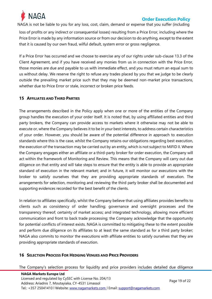

NAGA is not be liable to you for any loss, cost, claim, demand or expense that you suffer (including

loss of profits or any indirect or consequential losses) resulting from a Price Error, including where the Price Error is made by any information source or from our decision to do anything, except to the extent that it is caused by our own fraud, wilful default, system error or gross negligence.

If a Price Error has occurred and we choose to exercise any of our rights under sub-clause 13.3 of the Client Agreement, and if you have received any monies from us in connection with the Price Error, those monies are due and payable to us with immediate effect, and you must return an equal sum to us without delay. We reserve the right to refuse any trades placed by you that we judge to be clearly outside the prevailing market price such that they may be deemed non-market price transactions, whether due to Price Error or stale, incorrect or broken price feeds.

#### <span id="page-18-0"></span>**15 AFFILIATES AND THIRD PARTIES**

The arrangements described in the Policy apply when one or more of the entities of the Company group handles the execution of your order itself. It is noted that, by using affiliated entities and third party brokers, the Company can provide access to markets where it otherwise may not be able to execute or, where the Company believes it to be in your best interests, to address certain characteristics of your order. However, you should be aware of the potential difference in approach to execution standards where this is the case, whilst the Company retains our obligations regarding best execution, the execution of the transaction may be carried out by an entity, which is not subject to MiFID II. Where the Company engages either an affiliate or a third-party broker for order execution, the Company will act within the framework of Monitoring and Review. This means that the Company will carry out due diligence on that entity and will take steps to ensure that the entity is able to provide an appropriate standard of execution in the relevant market; and in future, it will monitor our executions with the broker to satisfy ourselves that they are providing appropriate standards of execution. The arrangements for selection, monitoring and reviewing the third party broker shall be documented and supporting evidences recorded for the best benefit of the clients.

In relation to affiliates specifically, whilst the Company believe that using affiliates provides benefits to clients such as consistency of order handling; governance and oversight processes and the transparency thereof; certainty of market access; and integrated technology, allowing more efficient communication and front to back trade processing; the Company acknowledge that the opportunity for potential conflicts of interest exists. NAGA is committed to mitigating these to the extent possible and perform due diligence on its affiliates to at least the same standard as for a third party broker; NAGA also commits to monitor the executions with affiliate entities to satisfy ourselves that they are providing appropriate standards of execution.

#### <span id="page-18-1"></span>**16 SELECTION PROCESS FOR HEDGING VENUES AND PRICE PROVIDERS**

The Company's selection process for liquidity and price providers includes detailed due diligence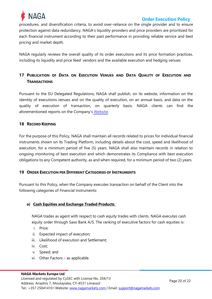

procedures, and diversification criteria, to avoid over-reliance on the single provider and to ensure protection against data redundancy. NAGA's liquidity providers and price providers are prioritized for each financial instrument according to their past performance in providing reliable service and best pricing and market depth.

NAGA regularly reviews the overall quality of its order executions and its price formation practices, including its liquidity and price feed' vendors and the available execution and hedging venues

# <span id="page-19-0"></span>**17 PUBLICATION OF DATA ON EXECUTION VENUES AND DATA QUALITY OF EXECUTION AND TRANSACTIONS**

Pursuant to the EU Delegated Regulations, NAGA shall publish, on its website, information on the identity of executions venues and on the quality of execution, on an annual basis, and data on the quality of execution of transaction, on quarterly basis. NAGA clients can find the aforementioned reports on the Company's W[ebsite.](https://nagamarkets.com/legal-documentation)

## <span id="page-19-1"></span>**18 RECORD KEEPING**

For the purpose of this Policy, NAGA shall maintain all records related to prices for individual financial instruments shown on its Trading Platform, including details about the cost, speed and likelihood of execution, for a minimum period of five (5) years. NAGA shall also maintain records in relation to ongoing monitoring of best execution and which demonstrates its Compliance with best execution obligations to any Competent authority, as and when required, for a minimum period of two (2) years.

## <span id="page-19-2"></span>**19 ORDER EXECUTION PER DIFFERENT CATEGORIES OF INSTRUMENTS**

Pursuant to this Policy, when the Company executes transaction on behalf of the Client into the following categories of Financial Instruments:

## **a) Cash Equities and Exchange Traded Products**

NAGA trades as agent with respect to cash equity trades with clients. NAGA executes cash equity order through Saxo Bank A/S. The ranking of executive factors for cash equities is:

- i. Price;
- ii. Expected impact of execution;
- iii. Likelihood of execution and Settlement;
- iv. Cost;
- v. Speed; and
- vi. Other Factors as applicable.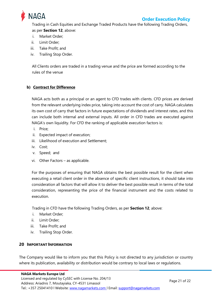

Trading in Cash Equities and Exchange Traded Products have the following Trading Orders, as per **Section 12**, above:

- i. Market Order;
- ii. Limit Order;
- iii. Take Profit; and
- iv. Trailing Stop Order.

All Clients orders are traded in a trading venue and the price are formed according to the rules of the venue

## **b) Contract for Difference**

NAGA acts both as a principal or an agent to CFD trades with clients. CFD prices are derived from the relevant underlying index price, taking into account the cost of carry. NAGA calculates its own cost of carry that factors in future expectations of dividends and interest rates, and this can include both internal and external inputs. All order in CFD trades are executed against NAGA's own liquidity. For CFD the ranking of applicable execution factors is:

- i. Price;
- ii. Expected impact of execution;
- iii. Likelihood of execution and Settlement;
- iv. Cost;
- v. Speed; and
- vi. Other Factors as applicable.

For the purposes of ensuring that NAGA obtains the best possible result for the client when executing a retail client order in the absence of specific client instructions, it should take into consideration all factors that will allow it to deliver the best possible result in terms of the total consideration, representing the price of the financial instrument and the costs related to execution.

Trading in CFD have the following Trading Orders, as per **Section 12**, above:

- i. Market Order;
- ii. Limit Order;
- iii. Take Profit; and
- iv. Trailing Stop Order.

## <span id="page-20-0"></span>**20 IMPORTANT INFORMATION**

The Company would like to inform you that this Policy is not directed to any jurisdiction or country where its publication, availability or distribution would be contrary to local laws or regulations.